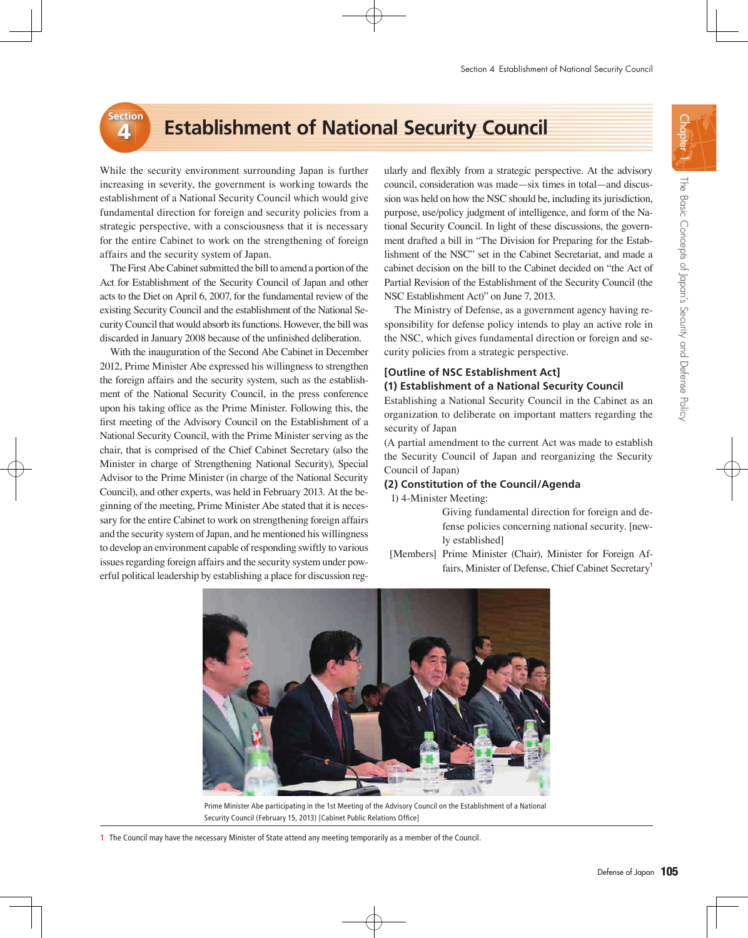# **External Establishment of National Security Council**

While the security environment surrounding Japan is further increasing in severity, the government is working towards the establishment of a National Security Council which would give fundamental direction for foreign and security policies from a strategic perspective, with a consciousness that it is necessary for the entire Cabinet to work on the strengthening of foreign affairs and the security system of Japan.

The First Abe Cabinet submitted the bill to amend a portion of the Act for Establishment of the Security Council of Japan and other acts to the Diet on April 6, 2007, for the fundamental review of the existing Security Council and the establishment of the National Security Council that would absorb its functions. However, the bill was discarded in January 2008 because of the unfinished deliberation.

With the inauguration of the Second Abe Cabinet in December 2012, Prime Minister Abe expressed his willingness to strengthen the foreign affairs and the security system, such as the establishment of the National Security Council, in the press conference upon his taking office as the Prime Minister. Following this, the first meeting of the Advisory Council on the Establishment of a National Security Council, with the Prime Minister serving as the chair, that is comprised of the Chief Cabinet Secretary (also the Minister in charge of Strengthening National Security), Special Advisor to the Prime Minister (in charge of the National Security Council), and other experts, was held in February 2013. At the beginning of the meeting, Prime Minister Abe stated that it is necessary for the entire Cabinet to work on strengthening foreign affairs and the security system of Japan, and he mentioned his willingness to develop an environment capable of responding swiftly to various issues regarding foreign affairs and the security system under powerful political leadership by establishing a place for discussion reg-

ularly and flexibly from a strategic perspective. At the advisory council, consideration was made—six times in total—and discussion was held on how the NSC should be, including its jurisdiction, purpose, use/policy judgment of intelligence, and form of the National Security Council. In light of these discussions, the government drafted a bill in "The Division for Preparing for the Establishment of the NSC" set in the Cabinet Secretariat, and made a cabinet decision on the bill to the Cabinet decided on "the Act of Partial Revision of the Establishment of the Security Council (the NSC Establishment Act)" on June 7, 2013.

The Ministry of Defense, as a government agency having responsibility for defense policy intends to play an active role in the NSC, which gives fundamental direction or foreign and security policies from a strategic perspective.

## **[Outline of NSC Establishment Act] (1) Establishment of a National Security Council**

Establishing a National Security Council in the Cabinet as an organization to deliberate on important matters regarding the security of Japan

(A partial amendment to the current Act was made to establish the Security Council of Japan and reorganizing the Security Council of Japan)

## **(2) Constitution of the Council/Agenda**

1) 4-Minister Meeting:

 Giving fundamental direction for foreign and defense policies concerning national security. [newly established]

[Members] Prime Minister (Chair), Minister for Foreign Affairs, Minister of Defense, Chief Cabinet Secretary**<sup>1</sup>**



Prime Minister Abe participating in the 1st Meeting of the Advisory Council on the Establishment of a National Security Council (February 15, 2013) [Cabinet Public Relations Office]

1 The Council may have the necessary Minister of State attend any meeting temporarily as a member of the Council.